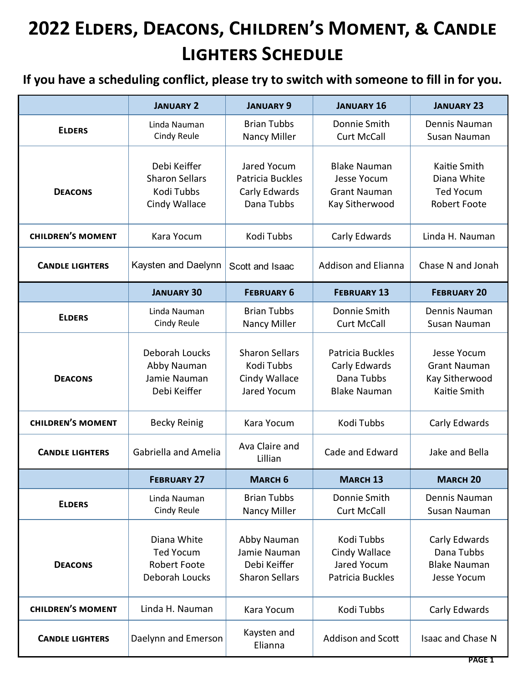|                          | <b>JANUARY 2</b>                                                         | <b>JANUARY 9</b>                                                     | <b>JANUARY 16</b>                                                           | <b>JANUARY 23</b>                                                      |
|--------------------------|--------------------------------------------------------------------------|----------------------------------------------------------------------|-----------------------------------------------------------------------------|------------------------------------------------------------------------|
| <b>ELDERS</b>            | Linda Nauman<br><b>Cindy Reule</b>                                       | <b>Brian Tubbs</b><br>Nancy Miller                                   | Donnie Smith<br><b>Curt McCall</b>                                          | Dennis Nauman<br>Susan Nauman                                          |
| <b>DEACONS</b>           | Debi Keiffer<br><b>Sharon Sellars</b><br>Kodi Tubbs<br>Cindy Wallace     | Jared Yocum<br>Patricia Buckles<br>Carly Edwards<br>Dana Tubbs       | <b>Blake Nauman</b><br>Jesse Yocum<br><b>Grant Nauman</b><br>Kay Sitherwood | Kaitie Smith<br>Diana White<br><b>Ted Yocum</b><br><b>Robert Foote</b> |
| <b>CHILDREN'S MOMENT</b> | Kara Yocum                                                               | Kodi Tubbs                                                           | Carly Edwards                                                               | Linda H. Nauman                                                        |
| <b>CANDLE LIGHTERS</b>   | Kaysten and Daelynn                                                      | Scott and Isaac                                                      | <b>Addison and Elianna</b>                                                  | Chase N and Jonah                                                      |
|                          | <b>JANUARY 30</b>                                                        | <b>FEBRUARY 6</b>                                                    | <b>FEBRUARY 13</b>                                                          | <b>FEBRUARY 20</b>                                                     |
| <b>ELDERS</b>            | Linda Nauman<br><b>Cindy Reule</b>                                       | <b>Brian Tubbs</b><br>Nancy Miller                                   | Donnie Smith<br><b>Curt McCall</b>                                          | Dennis Nauman<br>Susan Nauman                                          |
| <b>DEACONS</b>           | Deborah Loucks<br>Abby Nauman<br>Jamie Nauman<br>Debi Keiffer            | <b>Sharon Sellars</b><br>Kodi Tubbs<br>Cindy Wallace<br>Jared Yocum  | Patricia Buckles<br>Carly Edwards<br>Dana Tubbs<br><b>Blake Nauman</b>      | Jesse Yocum<br><b>Grant Nauman</b><br>Kay Sitherwood<br>Kaitie Smith   |
| <b>CHILDREN'S MOMENT</b> | <b>Becky Reinig</b>                                                      | Kara Yocum                                                           | Kodi Tubbs                                                                  | Carly Edwards                                                          |
| <b>CANDLE LIGHTERS</b>   | <b>Gabriella and Amelia</b>                                              | Ava Claire and<br>Lillian                                            | Cade and Edward                                                             | Jake and Bella                                                         |
|                          | <b>FEBRUARY 27</b>                                                       | <b>MARCH 6</b>                                                       | <b>MARCH 13</b>                                                             | <b>MARCH 20</b>                                                        |
| <b>ELDERS</b>            | Linda Nauman<br><b>Cindy Reule</b>                                       | <b>Brian Tubbs</b><br>Nancy Miller                                   | Donnie Smith<br><b>Curt McCall</b>                                          | Dennis Nauman<br>Susan Nauman                                          |
| <b>DEACONS</b>           | Diana White<br><b>Ted Yocum</b><br><b>Robert Foote</b><br>Deborah Loucks | Abby Nauman<br>Jamie Nauman<br>Debi Keiffer<br><b>Sharon Sellars</b> | Kodi Tubbs<br>Cindy Wallace<br>Jared Yocum<br>Patricia Buckles              | Carly Edwards<br>Dana Tubbs<br><b>Blake Nauman</b><br>Jesse Yocum      |
| <b>CHILDREN'S MOMENT</b> | Linda H. Nauman                                                          | Kara Yocum                                                           | Kodi Tubbs                                                                  | Carly Edwards                                                          |
| <b>CANDLE LIGHTERS</b>   | Daelynn and Emerson                                                      | Kaysten and<br>Elianna                                               | Addison and Scott                                                           | Isaac and Chase N                                                      |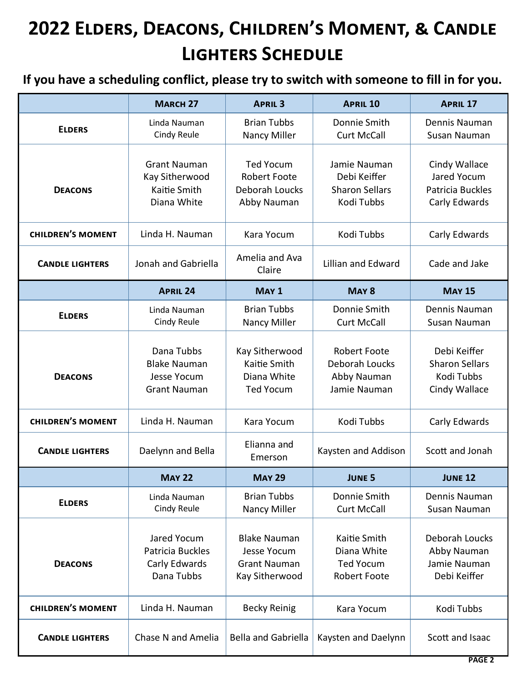|                          | <b>MARCH 27</b>                                                         | <b>APRIL 3</b>                                                              | <b>APRIL 10</b>                                                        | <b>APRIL 17</b>                                                      |
|--------------------------|-------------------------------------------------------------------------|-----------------------------------------------------------------------------|------------------------------------------------------------------------|----------------------------------------------------------------------|
| <b>ELDERS</b>            | Linda Nauman<br>Cindy Reule                                             | <b>Brian Tubbs</b><br>Nancy Miller                                          | Donnie Smith<br><b>Curt McCall</b>                                     | Dennis Nauman<br>Susan Nauman                                        |
| <b>DEACONS</b>           | <b>Grant Nauman</b><br>Kay Sitherwood<br>Kaitie Smith<br>Diana White    | <b>Ted Yocum</b><br><b>Robert Foote</b><br>Deborah Loucks<br>Abby Nauman    | Jamie Nauman<br>Debi Keiffer<br><b>Sharon Sellars</b><br>Kodi Tubbs    | Cindy Wallace<br>Jared Yocum<br>Patricia Buckles<br>Carly Edwards    |
| <b>CHILDREN'S MOMENT</b> | Linda H. Nauman                                                         | Kara Yocum                                                                  | Kodi Tubbs                                                             | Carly Edwards                                                        |
| <b>CANDLE LIGHTERS</b>   | Jonah and Gabriella                                                     | Amelia and Ava<br>Claire                                                    | <b>Lillian and Edward</b>                                              | Cade and Jake                                                        |
|                          | <b>APRIL 24</b>                                                         | MAY <sub>1</sub>                                                            | MAY <sub>8</sub>                                                       | <b>MAY 15</b>                                                        |
| <b>ELDERS</b>            | Linda Nauman<br>Cindy Reule                                             | <b>Brian Tubbs</b><br>Nancy Miller                                          | Donnie Smith<br><b>Curt McCall</b>                                     | Dennis Nauman<br>Susan Nauman                                        |
| <b>DEACONS</b>           | Dana Tubbs<br><b>Blake Nauman</b><br>Jesse Yocum<br><b>Grant Nauman</b> | Kay Sitherwood<br>Kaitie Smith<br>Diana White<br><b>Ted Yocum</b>           | <b>Robert Foote</b><br>Deborah Loucks<br>Abby Nauman<br>Jamie Nauman   | Debi Keiffer<br><b>Sharon Sellars</b><br>Kodi Tubbs<br>Cindy Wallace |
| <b>CHILDREN'S MOMENT</b> | Linda H. Nauman                                                         | Kara Yocum                                                                  | Kodi Tubbs                                                             | Carly Edwards                                                        |
| <b>CANDLE LIGHTERS</b>   | Daelynn and Bella                                                       | Elianna and<br>Emerson                                                      | Kaysten and Addison                                                    | Scott and Jonah                                                      |
|                          | <b>MAY 22</b>                                                           | <b>MAY 29</b>                                                               | <b>JUNE 5</b>                                                          | <b>JUNE 12</b>                                                       |
| <b>ELDERS</b>            | Linda Nauman<br>Cindy Reule                                             | <b>Brian Tubbs</b><br>Nancy Miller                                          | Donnie Smith<br><b>Curt McCall</b>                                     | Dennis Nauman<br>Susan Nauman                                        |
| <b>DEACONS</b>           | Jared Yocum<br>Patricia Buckles<br>Carly Edwards<br>Dana Tubbs          | <b>Blake Nauman</b><br>Jesse Yocum<br><b>Grant Nauman</b><br>Kay Sitherwood | Kaitie Smith<br>Diana White<br><b>Ted Yocum</b><br><b>Robert Foote</b> | Deborah Loucks<br>Abby Nauman<br>Jamie Nauman<br>Debi Keiffer        |
| <b>CHILDREN'S MOMENT</b> | Linda H. Nauman                                                         | <b>Becky Reinig</b>                                                         | Kara Yocum                                                             | Kodi Tubbs                                                           |
| <b>CANDLE LIGHTERS</b>   | Chase N and Amelia                                                      | <b>Bella and Gabriella</b>                                                  | Kaysten and Daelynn                                                    | Scott and Isaac                                                      |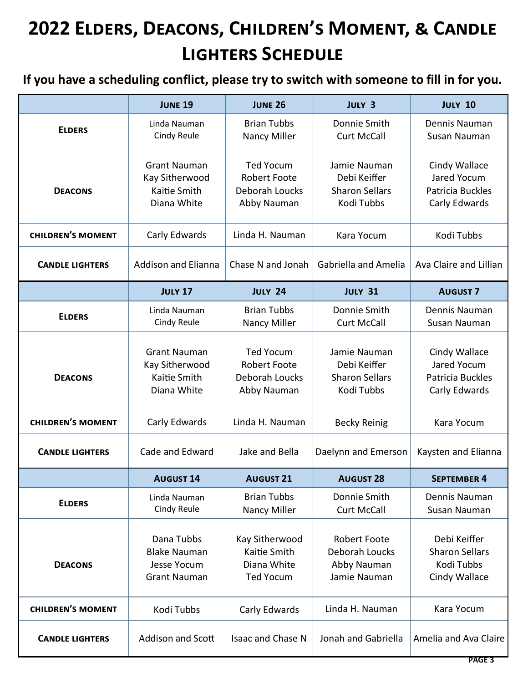|                          | <b>JUNE 19</b>                                                                 | <b>JUNE 26</b>                                                           | <b>JULY 3</b>                                                        | <b>JULY 10</b>                                                       |
|--------------------------|--------------------------------------------------------------------------------|--------------------------------------------------------------------------|----------------------------------------------------------------------|----------------------------------------------------------------------|
| <b>ELDERS</b>            | Linda Nauman<br>Cindy Reule                                                    | <b>Brian Tubbs</b><br>Nancy Miller                                       | Donnie Smith<br><b>Curt McCall</b>                                   | Dennis Nauman<br>Susan Nauman                                        |
| <b>DEACONS</b>           | <b>Grant Nauman</b><br>Kay Sitherwood<br>Kaitie Smith<br>Diana White           | <b>Ted Yocum</b><br><b>Robert Foote</b><br>Deborah Loucks<br>Abby Nauman | Jamie Nauman<br>Debi Keiffer<br><b>Sharon Sellars</b><br>Kodi Tubbs  | Cindy Wallace<br>Jared Yocum<br>Patricia Buckles<br>Carly Edwards    |
| <b>CHILDREN'S MOMENT</b> | Carly Edwards                                                                  | Linda H. Nauman                                                          | Kara Yocum                                                           | Kodi Tubbs                                                           |
| <b>CANDLE LIGHTERS</b>   | <b>Addison and Elianna</b>                                                     | Chase N and Jonah                                                        | <b>Gabriella and Amelia</b>                                          | Ava Claire and Lillian                                               |
|                          | <b>JULY 17</b>                                                                 | <b>JULY 24</b>                                                           | <b>JULY 31</b>                                                       | <b>AUGUST 7</b>                                                      |
| <b>ELDERS</b>            | Linda Nauman<br>Cindy Reule                                                    | <b>Brian Tubbs</b><br>Nancy Miller                                       | Donnie Smith<br><b>Curt McCall</b>                                   | Dennis Nauman<br>Susan Nauman                                        |
| <b>DEACONS</b>           | <b>Grant Nauman</b><br>Kay Sitherwood<br>Kaitie Smith<br>Diana White           | <b>Ted Yocum</b><br><b>Robert Foote</b><br>Deborah Loucks<br>Abby Nauman | Jamie Nauman<br>Debi Keiffer<br><b>Sharon Sellars</b><br>Kodi Tubbs  | Cindy Wallace<br>Jared Yocum<br>Patricia Buckles<br>Carly Edwards    |
| <b>CHILDREN'S MOMENT</b> | Carly Edwards                                                                  | Linda H. Nauman                                                          | <b>Becky Reinig</b>                                                  | Kara Yocum                                                           |
| <b>CANDLE LIGHTERS</b>   | Cade and Edward                                                                | Jake and Bella                                                           | Daelynn and Emerson                                                  | Kaysten and Elianna                                                  |
|                          | <b>AUGUST 14</b>                                                               | <b>AUGUST 21</b>                                                         | <b>AUGUST 28</b>                                                     | <b>SEPTEMBER 4</b>                                                   |
| <b>ELDERS</b>            | Linda Nauman<br><b>Cindy Reule</b>                                             | <b>Brian Tubbs</b><br>Nancy Miller                                       | Donnie Smith<br><b>Curt McCall</b>                                   | Dennis Nauman<br>Susan Nauman                                        |
| <b>DEACONS</b>           | Dana Tubbs<br><b>Blake Nauman</b><br><b>Jesse Yocum</b><br><b>Grant Nauman</b> | Kay Sitherwood<br>Kaitie Smith<br>Diana White<br><b>Ted Yocum</b>        | <b>Robert Foote</b><br>Deborah Loucks<br>Abby Nauman<br>Jamie Nauman | Debi Keiffer<br><b>Sharon Sellars</b><br>Kodi Tubbs<br>Cindy Wallace |
| <b>CHILDREN'S MOMENT</b> | Kodi Tubbs                                                                     | Carly Edwards                                                            | Linda H. Nauman                                                      | Kara Yocum                                                           |
| <b>CANDLE LIGHTERS</b>   | Addison and Scott                                                              | <b>Isaac and Chase N</b>                                                 | Jonah and Gabriella                                                  | Amelia and Ava Claire                                                |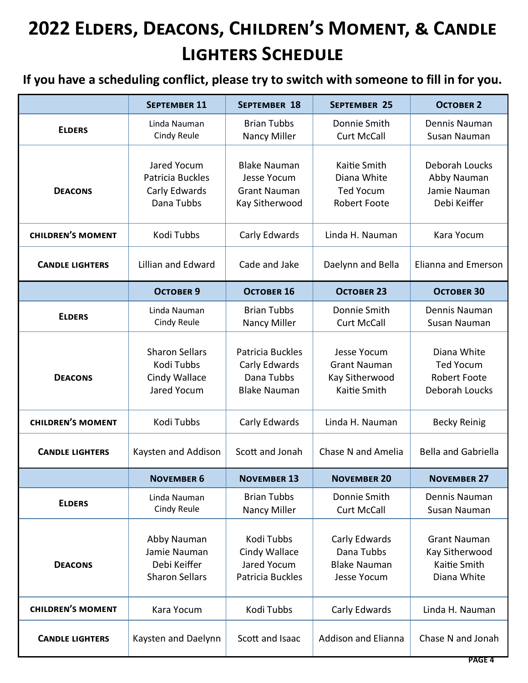|                          | <b>SEPTEMBER 11</b>                                                  | <b>SEPTEMBER 18</b>                                                                | <b>SEPTEMBER 25</b>                                                    | <b>OCTOBER 2</b>                                                         |
|--------------------------|----------------------------------------------------------------------|------------------------------------------------------------------------------------|------------------------------------------------------------------------|--------------------------------------------------------------------------|
| <b>ELDERS</b>            | Linda Nauman<br>Cindy Reule                                          | <b>Brian Tubbs</b><br>Nancy Miller                                                 | Donnie Smith<br><b>Curt McCall</b>                                     | Dennis Nauman<br>Susan Nauman                                            |
| <b>DEACONS</b>           | Jared Yocum<br>Patricia Buckles<br>Carly Edwards<br>Dana Tubbs       | <b>Blake Nauman</b><br><b>Jesse Yocum</b><br><b>Grant Nauman</b><br>Kay Sitherwood | Kaitie Smith<br>Diana White<br><b>Ted Yocum</b><br><b>Robert Foote</b> | Deborah Loucks<br>Abby Nauman<br>Jamie Nauman<br>Debi Keiffer            |
| <b>CHILDREN'S MOMENT</b> | Kodi Tubbs                                                           | Carly Edwards                                                                      | Linda H. Nauman                                                        | Kara Yocum                                                               |
| <b>CANDLE LIGHTERS</b>   | <b>Lillian and Edward</b>                                            | Cade and Jake                                                                      | Daelynn and Bella                                                      | Elianna and Emerson                                                      |
|                          | <b>OCTOBER 9</b>                                                     | <b>OCTOBER 16</b>                                                                  | <b>OCTOBER 23</b>                                                      | <b>OCTOBER 30</b>                                                        |
| <b>ELDERS</b>            | Linda Nauman<br>Cindy Reule                                          | <b>Brian Tubbs</b><br>Nancy Miller                                                 | Donnie Smith<br><b>Curt McCall</b>                                     | Dennis Nauman<br>Susan Nauman                                            |
| <b>DEACONS</b>           | <b>Sharon Sellars</b><br>Kodi Tubbs<br>Cindy Wallace<br>Jared Yocum  | Patricia Buckles<br>Carly Edwards<br>Dana Tubbs<br><b>Blake Nauman</b>             | Jesse Yocum<br><b>Grant Nauman</b><br>Kay Sitherwood<br>Kaitie Smith   | Diana White<br><b>Ted Yocum</b><br><b>Robert Foote</b><br>Deborah Loucks |
| <b>CHILDREN'S MOMENT</b> | Kodi Tubbs                                                           | Carly Edwards                                                                      | Linda H. Nauman                                                        | <b>Becky Reinig</b>                                                      |
| <b>CANDLE LIGHTERS</b>   | Kaysten and Addison                                                  | Scott and Jonah                                                                    | Chase N and Amelia                                                     | <b>Bella and Gabriella</b>                                               |
|                          | <b>NOVEMBER 6</b>                                                    | <b>NOVEMBER 13</b>                                                                 | <b>NOVEMBER 20</b>                                                     | <b>NOVEMBER 27</b>                                                       |
| <b>ELDERS</b>            | Linda Nauman<br>Cindy Reule                                          | <b>Brian Tubbs</b><br>Nancy Miller                                                 | Donnie Smith<br><b>Curt McCall</b>                                     | Dennis Nauman<br>Susan Nauman                                            |
| <b>DEACONS</b>           | Abby Nauman<br>Jamie Nauman<br>Debi Keiffer<br><b>Sharon Sellars</b> | Kodi Tubbs<br>Cindy Wallace<br>Jared Yocum<br>Patricia Buckles                     | Carly Edwards<br>Dana Tubbs<br><b>Blake Nauman</b><br>Jesse Yocum      | <b>Grant Nauman</b><br>Kay Sitherwood<br>Kaitie Smith<br>Diana White     |
| <b>CHILDREN'S MOMENT</b> | Kara Yocum                                                           | Kodi Tubbs                                                                         | Carly Edwards                                                          | Linda H. Nauman                                                          |
| <b>CANDLE LIGHTERS</b>   | Kaysten and Daelynn                                                  | Scott and Isaac                                                                    | <b>Addison and Elianna</b>                                             | Chase N and Jonah                                                        |